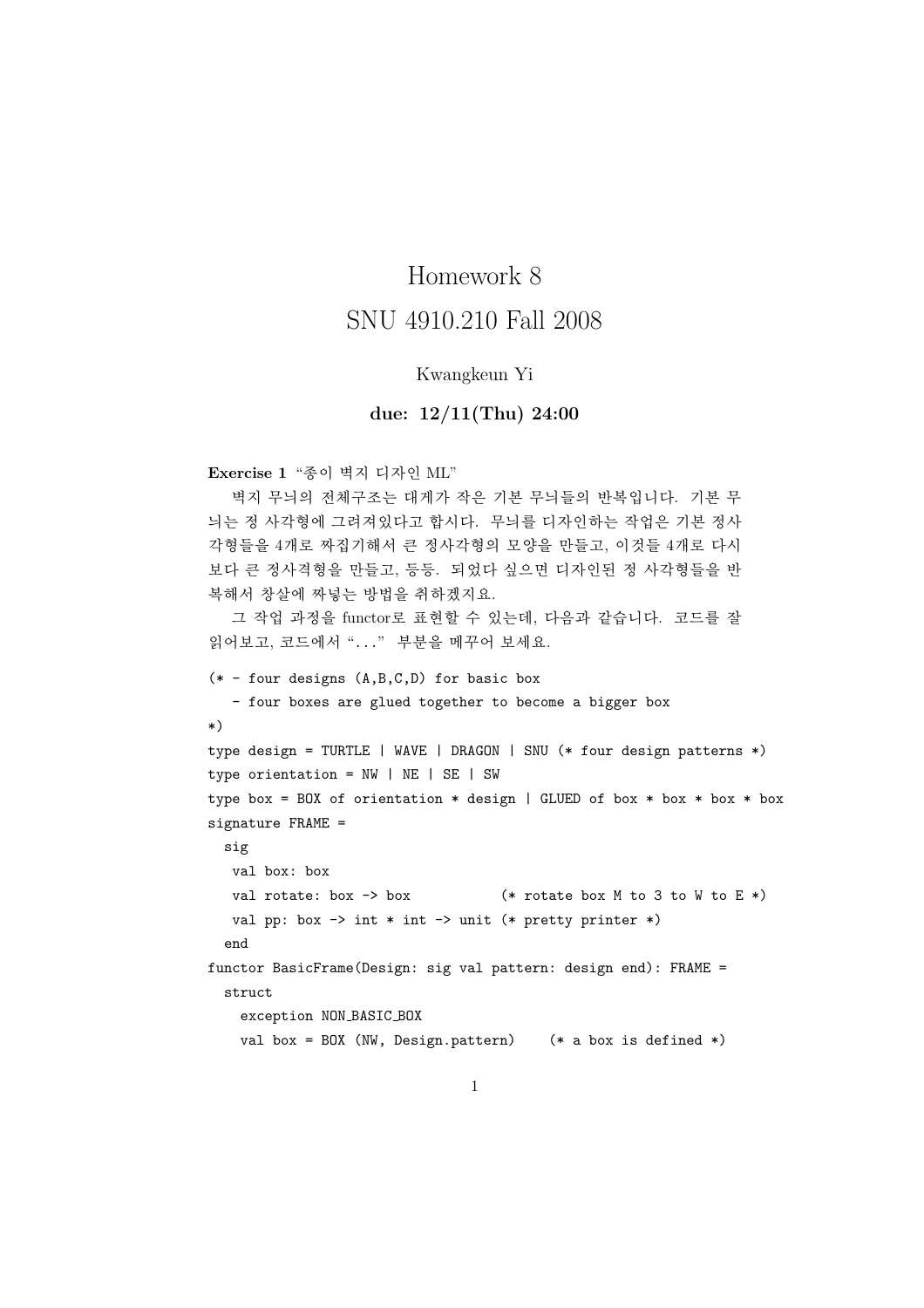## Homework 8

## SNU 4910.210 Fall 2008

## Kwangkeun Yi

## due: 12/11(Thu) 24:00

Exercise 1 "종이 벽지 디자인 ML"

벽지 무늬의 전체구조는 대게가 작은 기본 무늬들의 반복입니다. 기본 무 늬는 정 사각형에 그려져있다고 합시다. 무늬를 디자인하는 작업은 기본 정사 각형들을 4개로 짜집기해서 큰 정사각형의 모양을 만들고, 이것들 4개로 다시 보다 큰 정사격형을 만들고, 등등. 되었다 싶으면 디자인된 정 사각형들을 반 복해서 창살에 짜넣는 방법을 취하겠지요.

그 작업 과정을 functor로 표현할 수 있는데, 다음과 같습니다. 코드를 잘 읽어보고, 코드에서 "..." 부분을 메꾸어 보세요.

```
(* - four designs (A, B, C, D) for basic box- four boxes are glued together to become a bigger box
*)
type design = TURTLE | WAVE | DRAGON | SNU (* four design patterns *)
type orientation = NW | NE | SE | SWtype box = BOX of orientation * design | GLUED of box * box * box * box
signature FRAME =
 sig
   val box: box
  val rotate: box \rightarrow box ( \ast rotate box M to 3 to W to E \ast)
  val pp: box \rightarrow int * int \rightarrow unit (* pretty printer *)end
functor BasicFrame(Design: sig val pattern: design end): FRAME =
  struct
    exception NON BASIC BOX
    val box = BOX (NW, Design.pattern) (* a box is defined *)
```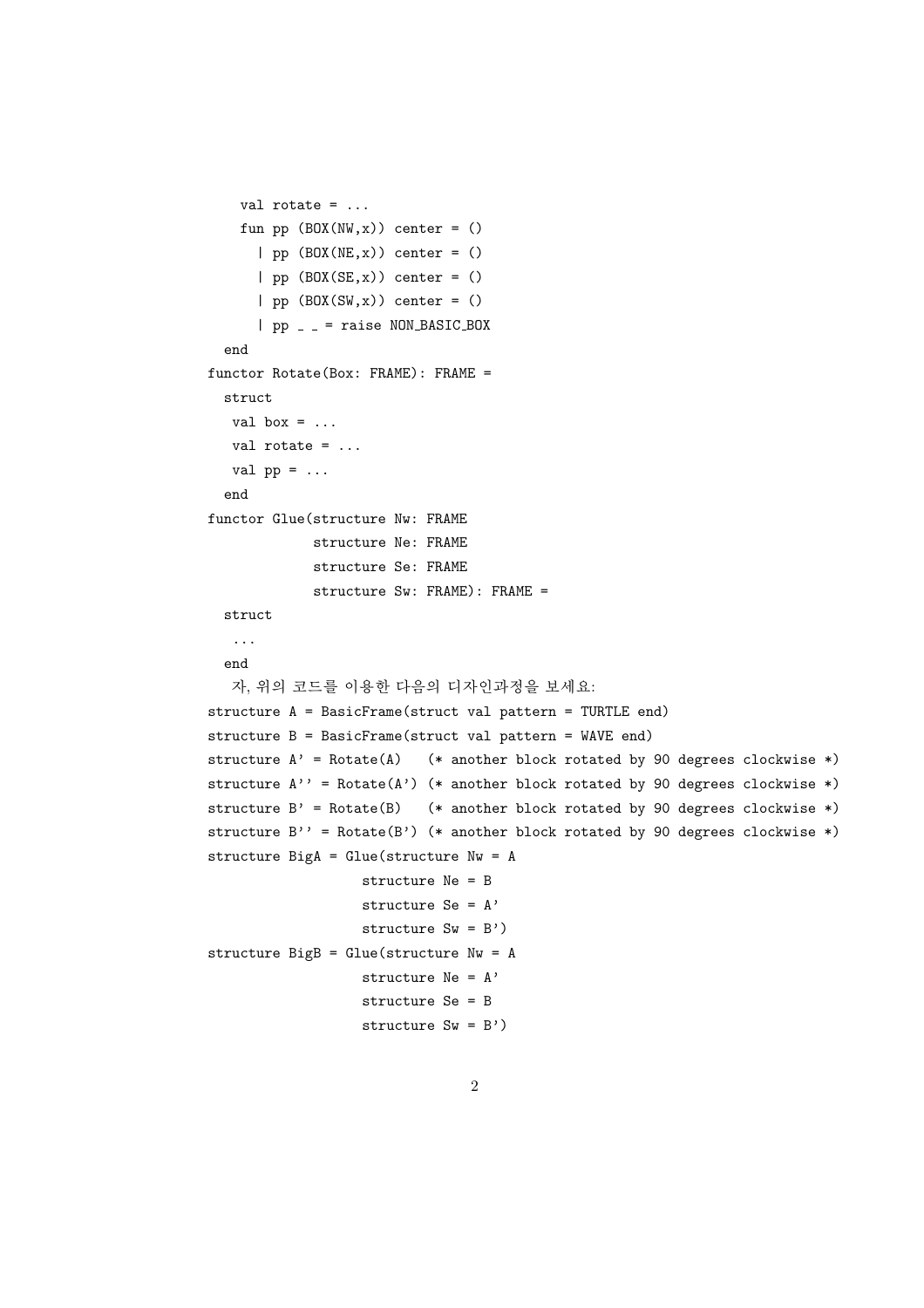```
val rotate = ...
    fun pp (BOX(NW, x)) center = ()
      | pp (BOX(NE, x)) center = ()
      | pp (B0X(SE, x)) center = ()
      | pp (BOX(SW, x)) center = ()
      | pp = = raise NON BASIC BOX
  end
functor Rotate(Box: FRAME): FRAME =
  struct
  val box = \dotsval rotate = \dotsval pp = ...end
functor Glue(structure Nw: FRAME
            structure Ne: FRAME
             structure Se: FRAME
            structure Sw: FRAME): FRAME =
  struct
  ...
  end
   자, 위의 코드를 이용한 다음의 디자인과정을 보세요:
structure A = BasicFrame(struct val pattern = TURTLE end)
structure B = BasicFrame(struct val pattern = WAVE end)
structure A' = Rotate(A) (* another block rotated by 90 degrees clockwise *)
structure A' = Rotate(A') (* another block rotated by 90 degrees clockwise *)
structure B' = Rotate(B) (* another block rotated by 90 degrees clockwise *)
structure B'' = Rotate(B') (* another block rotated by 90 degrees clockwise *)
structure BigA = Glue(structure Nw = A
                  structure Ne = B
                  structure Se = A'
                  structure Sw = B')
structure BigB = Glue(structure Nw = Astructure Ne = A'
                  structure Se = B
                  structure Sw = B')
```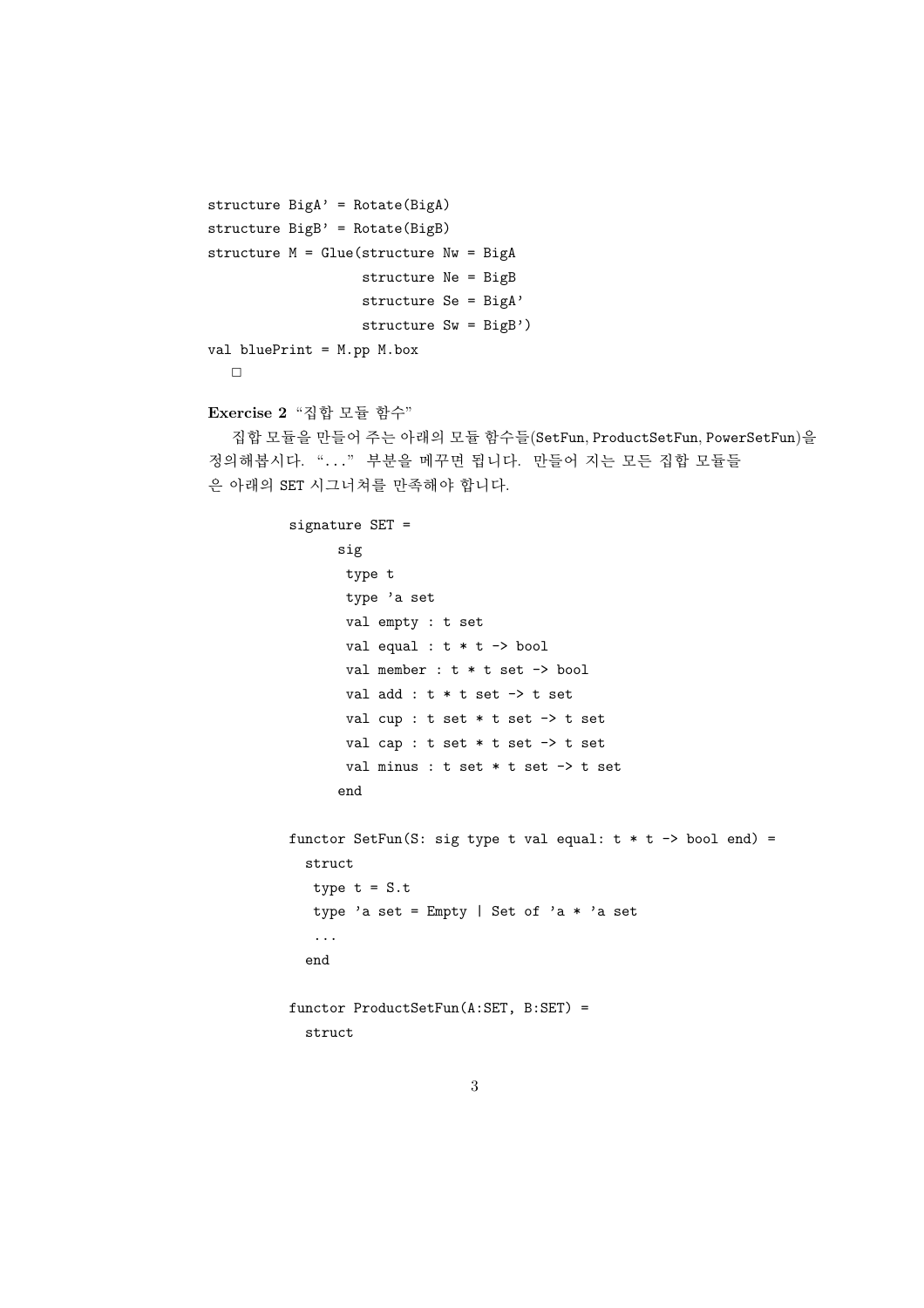```
structure BigA' = Rotate(BigA)
structure Big' = Rotate(BigB)structure M = Glue(\text{structure } Nw = BigA)structure Ne = BigB
                   structure Se = BigA'
                   structure Sw = BigB')val bluePrint = M.pp M.box
  \BoxExercise 2 "집합 모듈 함수"
```
집합 모듈을 만들어 주는 아래의 모듈 함수들(SetFun, ProductSetFun, PowerSetFun)을 정의해봅시다. "..." 부분을 메꾸면 됩니다. 만들어 지는 모든 집합 모듈들 은 아래의 SET 시그너쳐를 만족해야 합니다.

```
signature SET =
      sig
       type t
       type 'a set
       val empty : t set
       val equal : t * t \rightarrow boolval member : t * t set \rightarrow bool
       val add : t * t set \rightarrow t set
       val cup : t set * t set -> t set
       val cap : t set * t set -> t set
       val minus : t set * t set -> t set
      end
functor SetFun(S: sig type t val equal: t * t -> bool end) =
  struct
  type t = S.ttype 'a set = Empty | Set of 'a * 'a set
   \ddotsend
functor ProductSetFun(A:SET, B:SET) =struct
```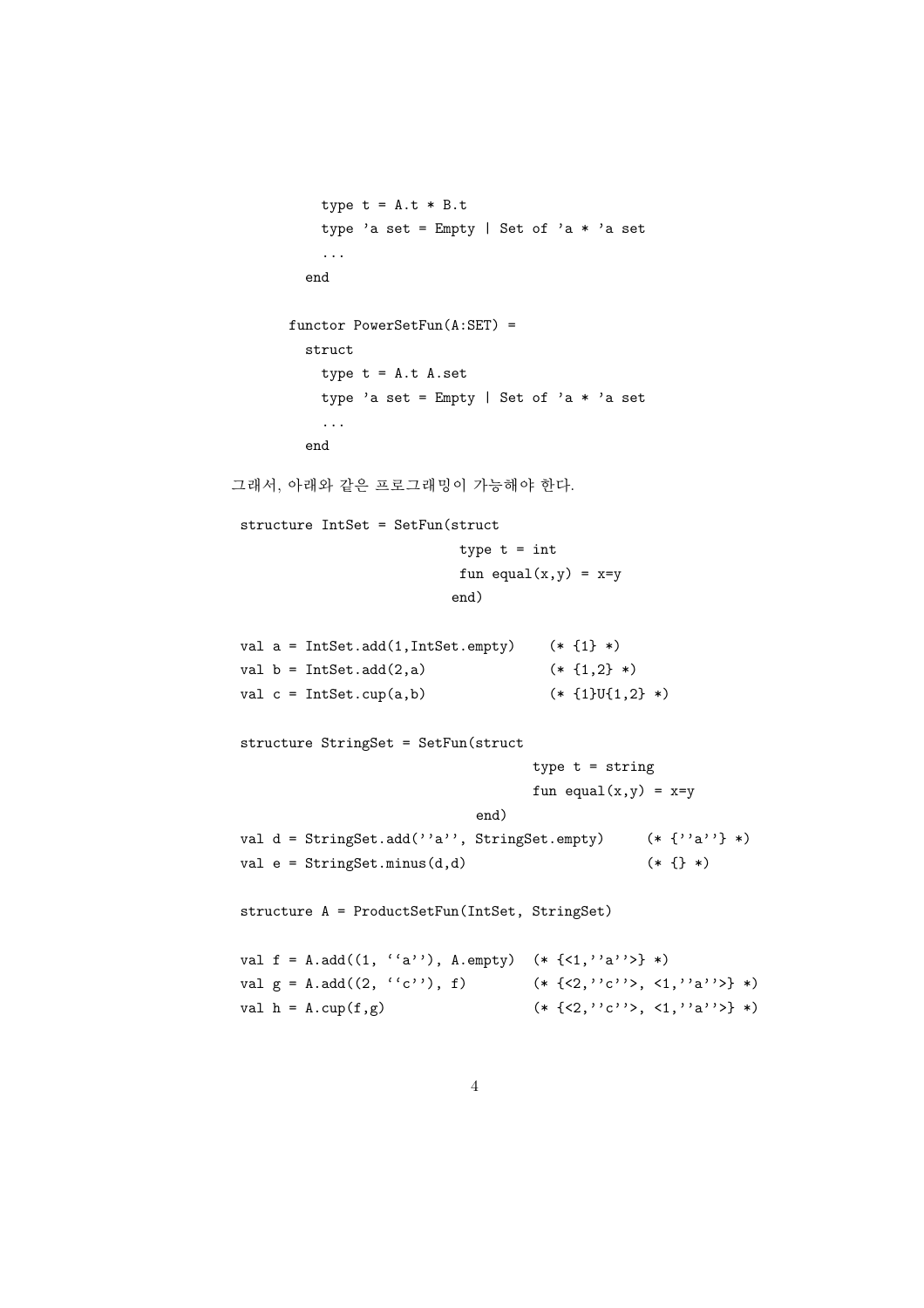```
type t = A.t * B.ttype 'a set = Empty | Set of 'a * 'a set
            \dddotsc_{\mathrm{end}}functor PowerSetFun(A:SET) =struct
            type t = A.t A.settype 'a set = Empty | Set of 'a * 'a set
            \dddotsc_{\mathrm{end}}그래서, 아래와 같은 프로그래밍이 가능해야 한다.
structure IntSet = SetFun(struct
                               type t = intfun equal(x,y) = x=yend)
val a = IntSet.add(1, IntSet . empty)(* \{1\} *)val b = IntSet.add(2, a)(* [1,2] *)val c = IntSet.cup(a,b)(* \{1\}U\{1,2\} *)structure StringSet = SetFun(struct
                                         type t = string
                                         fun equal(x,y) = x=yend)
val d = StringSet.add('a''), StringSet.empty)
                                                        (* {' a'''} * )val e = StringSet.minus(d, d)(* { }structure A = ProductSetFun(IntSet, StringSet)
val f = A.add((1, 'a'')), A.empty) (* {<1, 'a''>} *)
val g = A.add((2, 'c'')', f)(* \{<2, \cdot, \cdot\}), <1, \cdot\a') > } *)
val h = A.cup(f,g)(* \{<2, \cdot, \cdot\ c \cdot \geq \mathcal{A}, \{1, \cdot, \cdot\ a \cdot \geq \} \ * )
```